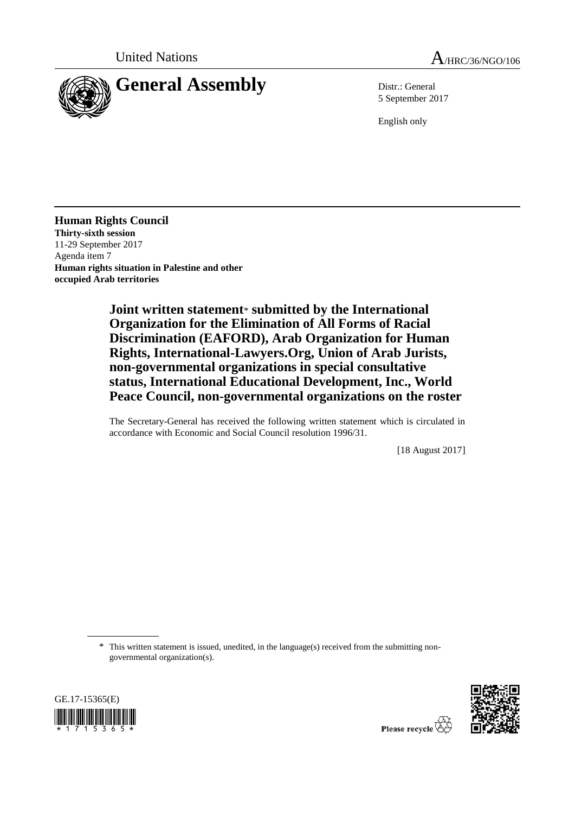



5 September 2017

English only

**Human Rights Council Thirty-sixth session** 11-29 September 2017 Agenda item 7 **Human rights situation in Palestine and other occupied Arab territories**

> **Joint written statement**\* **submitted by the International Organization for the Elimination of All Forms of Racial Discrimination (EAFORD), Arab Organization for Human Rights, International-Lawyers.Org, Union of Arab Jurists, non-governmental organizations in special consultative status, International Educational Development, Inc., World Peace Council, non-governmental organizations on the roster**

> The Secretary-General has received the following written statement which is circulated in accordance with Economic and Social Council resolution 1996/31.

> > [18 August 2017]

\* This written statement is issued, unedited, in the language(s) received from the submitting nongovernmental organization(s).



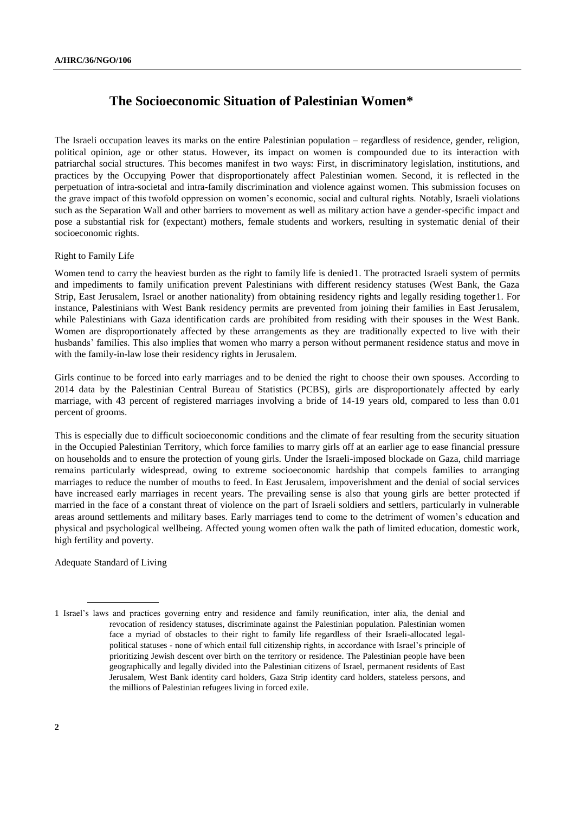# **The Socioeconomic Situation of Palestinian Women\***

The Israeli occupation leaves its marks on the entire Palestinian population – regardless of residence, gender, religion, political opinion, age or other status. However, its impact on women is compounded due to its interaction with patriarchal social structures. This becomes manifest in two ways: First, in discriminatory legislation, institutions, and practices by the Occupying Power that disproportionately affect Palestinian women. Second, it is reflected in the perpetuation of intra-societal and intra-family discrimination and violence against women. This submission focuses on the grave impact of this twofold oppression on women's economic, social and cultural rights. Notably, Israeli violations such as the Separation Wall and other barriers to movement as well as military action have a gender-specific impact and pose a substantial risk for (expectant) mothers, female students and workers, resulting in systematic denial of their socioeconomic rights.

## Right to Family Life

Women tend to carry the heaviest burden as the right to family life is denied 1. The protracted Israeli system of permits and impediments to family unification prevent Palestinians with different residency statuses (West Bank, the Gaza Strip, East Jerusalem, Israel or another nationality) from obtaining residency rights and legally residing together1. For instance, Palestinians with West Bank residency permits are prevented from joining their families in East Jerusalem, while Palestinians with Gaza identification cards are prohibited from residing with their spouses in the West Bank. Women are disproportionately affected by these arrangements as they are traditionally expected to live with their husbands' families. This also implies that women who marry a person without permanent residence status and move in with the family-in-law lose their residency rights in Jerusalem.

Girls continue to be forced into early marriages and to be denied the right to choose their own spouses. According to 2014 data by the Palestinian Central Bureau of Statistics (PCBS), girls are disproportionately affected by early marriage, with 43 percent of registered marriages involving a bride of 14-19 years old, compared to less than 0.01 percent of grooms.

This is especially due to difficult socioeconomic conditions and the climate of fear resulting from the security situation in the Occupied Palestinian Territory, which force families to marry girls off at an earlier age to ease financial pressure on households and to ensure the protection of young girls. Under the Israeli-imposed blockade on Gaza, child marriage remains particularly widespread, owing to extreme socioeconomic hardship that compels families to arranging marriages to reduce the number of mouths to feed. In East Jerusalem, impoverishment and the denial of social services have increased early marriages in recent years. The prevailing sense is also that young girls are better protected if married in the face of a constant threat of violence on the part of Israeli soldiers and settlers, particularly in vulnerable areas around settlements and military bases. Early marriages tend to come to the detriment of women's education and physical and psychological wellbeing. Affected young women often walk the path of limited education, domestic work, high fertility and poverty.

Adequate Standard of Living

<sup>1</sup> Israel's laws and practices governing entry and residence and family reunification, inter alia, the denial and revocation of residency statuses, discriminate against the Palestinian population. Palestinian women face a myriad of obstacles to their right to family life regardless of their Israeli-allocated legalpolitical statuses - none of which entail full citizenship rights, in accordance with Israel's principle of prioritizing Jewish descent over birth on the territory or residence. The Palestinian people have been geographically and legally divided into the Palestinian citizens of Israel, permanent residents of East Jerusalem, West Bank identity card holders, Gaza Strip identity card holders, stateless persons, and the millions of Palestinian refugees living in forced exile.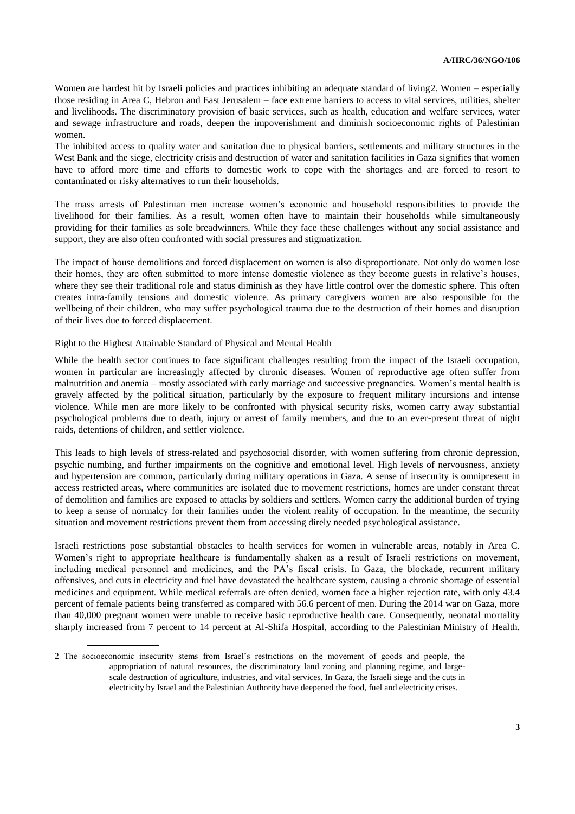Women are hardest hit by Israeli policies and practices inhibiting an adequate standard of living2. Women – especially those residing in Area C, Hebron and East Jerusalem – face extreme barriers to access to vital services, utilities, shelter and livelihoods. The discriminatory provision of basic services, such as health, education and welfare services, water and sewage infrastructure and roads, deepen the impoverishment and diminish socioeconomic rights of Palestinian women.

The inhibited access to quality water and sanitation due to physical barriers, settlements and military structures in the West Bank and the siege, electricity crisis and destruction of water and sanitation facilities in Gaza signifies that women have to afford more time and efforts to domestic work to cope with the shortages and are forced to resort to contaminated or risky alternatives to run their households.

The mass arrests of Palestinian men increase women's economic and household responsibilities to provide the livelihood for their families. As a result, women often have to maintain their households while simultaneously providing for their families as sole breadwinners. While they face these challenges without any social assistance and support, they are also often confronted with social pressures and stigmatization.

The impact of house demolitions and forced displacement on women is also disproportionate. Not only do women lose their homes, they are often submitted to more intense domestic violence as they become guests in relative's houses, where they see their traditional role and status diminish as they have little control over the domestic sphere. This often creates intra-family tensions and domestic violence. As primary caregivers women are also responsible for the wellbeing of their children, who may suffer psychological trauma due to the destruction of their homes and disruption of their lives due to forced displacement.

## Right to the Highest Attainable Standard of Physical and Mental Health

While the health sector continues to face significant challenges resulting from the impact of the Israeli occupation, women in particular are increasingly affected by chronic diseases. Women of reproductive age often suffer from malnutrition and anemia – mostly associated with early marriage and successive pregnancies. Women's mental health is gravely affected by the political situation, particularly by the exposure to frequent military incursions and intense violence. While men are more likely to be confronted with physical security risks, women carry away substantial psychological problems due to death, injury or arrest of family members, and due to an ever-present threat of night raids, detentions of children, and settler violence.

This leads to high levels of stress-related and psychosocial disorder, with women suffering from chronic depression, psychic numbing, and further impairments on the cognitive and emotional level. High levels of nervousness, anxiety and hypertension are common, particularly during military operations in Gaza. A sense of insecurity is omnipresent in access restricted areas, where communities are isolated due to movement restrictions, homes are under constant threat of demolition and families are exposed to attacks by soldiers and settlers. Women carry the additional burden of trying to keep a sense of normalcy for their families under the violent reality of occupation. In the meantime, the security situation and movement restrictions prevent them from accessing direly needed psychological assistance.

Israeli restrictions pose substantial obstacles to health services for women in vulnerable areas, notably in Area C. Women's right to appropriate healthcare is fundamentally shaken as a result of Israeli restrictions on movement, including medical personnel and medicines, and the PA's fiscal crisis. In Gaza, the blockade, recurrent military offensives, and cuts in electricity and fuel have devastated the healthcare system, causing a chronic shortage of essential medicines and equipment. While medical referrals are often denied, women face a higher rejection rate, with only 43.4 percent of female patients being transferred as compared with 56.6 percent of men. During the 2014 war on Gaza, more than 40,000 pregnant women were unable to receive basic reproductive health care. Consequently, neonatal mortality sharply increased from 7 percent to 14 percent at Al-Shifa Hospital, according to the Palestinian Ministry of Health.

<sup>2</sup> The socioeconomic insecurity stems from Israel's restrictions on the movement of goods and people, the appropriation of natural resources, the discriminatory land zoning and planning regime, and largescale destruction of agriculture, industries, and vital services. In Gaza, the Israeli siege and the cuts in electricity by Israel and the Palestinian Authority have deepened the food, fuel and electricity crises.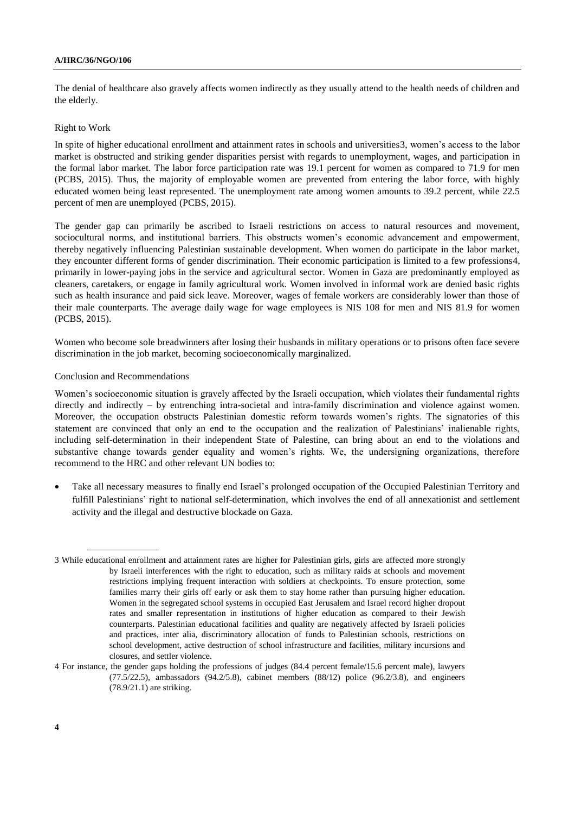#### **A/HRC/36/NGO/106**

The denial of healthcare also gravely affects women indirectly as they usually attend to the health needs of children and the elderly.

### Right to Work

In spite of higher educational enrollment and attainment rates in schools and universities3, women's access to the labor market is obstructed and striking gender disparities persist with regards to unemployment, wages, and participation in the formal labor market. The labor force participation rate was 19.1 percent for women as compared to 71.9 for men (PCBS, 2015). Thus, the majority of employable women are prevented from entering the labor force, with highly educated women being least represented. The unemployment rate among women amounts to 39.2 percent, while 22.5 percent of men are unemployed (PCBS, 2015).

The gender gap can primarily be ascribed to Israeli restrictions on access to natural resources and movement, sociocultural norms, and institutional barriers. This obstructs women's economic advancement and empowerment, thereby negatively influencing Palestinian sustainable development. When women do participate in the labor market, they encounter different forms of gender discrimination. Their economic participation is limited to a few professions4, primarily in lower-paying jobs in the service and agricultural sector. Women in Gaza are predominantly employed as cleaners, caretakers, or engage in family agricultural work. Women involved in informal work are denied basic rights such as health insurance and paid sick leave. Moreover, wages of female workers are considerably lower than those of their male counterparts. The average daily wage for wage employees is NIS 108 for men and NIS 81.9 for women (PCBS, 2015).

Women who become sole breadwinners after losing their husbands in military operations or to prisons often face severe discrimination in the job market, becoming socioeconomically marginalized.

#### Conclusion and Recommendations

Women's socioeconomic situation is gravely affected by the Israeli occupation, which violates their fundamental rights directly and indirectly – by entrenching intra-societal and intra-family discrimination and violence against women. Moreover, the occupation obstructs Palestinian domestic reform towards women's rights. The signatories of this statement are convinced that only an end to the occupation and the realization of Palestinians' inalienable rights, including self-determination in their independent State of Palestine, can bring about an end to the violations and substantive change towards gender equality and women's rights. We, the undersigning organizations, therefore recommend to the HRC and other relevant UN bodies to:

 Take all necessary measures to finally end Israel's prolonged occupation of the Occupied Palestinian Territory and fulfill Palestinians' right to national self-determination, which involves the end of all annexationist and settlement activity and the illegal and destructive blockade on Gaza.

<sup>3</sup> While educational enrollment and attainment rates are higher for Palestinian girls, girls are affected more strongly by Israeli interferences with the right to education, such as military raids at schools and movement restrictions implying frequent interaction with soldiers at checkpoints. To ensure protection, some families marry their girls off early or ask them to stay home rather than pursuing higher education. Women in the segregated school systems in occupied East Jerusalem and Israel record higher dropout rates and smaller representation in institutions of higher education as compared to their Jewish counterparts. Palestinian educational facilities and quality are negatively affected by Israeli policies and practices, inter alia, discriminatory allocation of funds to Palestinian schools, restrictions on school development, active destruction of school infrastructure and facilities, military incursions and closures, and settler violence.

<sup>4</sup> For instance, the gender gaps holding the professions of judges (84.4 percent female/15.6 percent male), lawyers (77.5/22.5), ambassadors (94.2/5.8), cabinet members (88/12) police (96.2/3.8), and engineers (78.9/21.1) are striking.